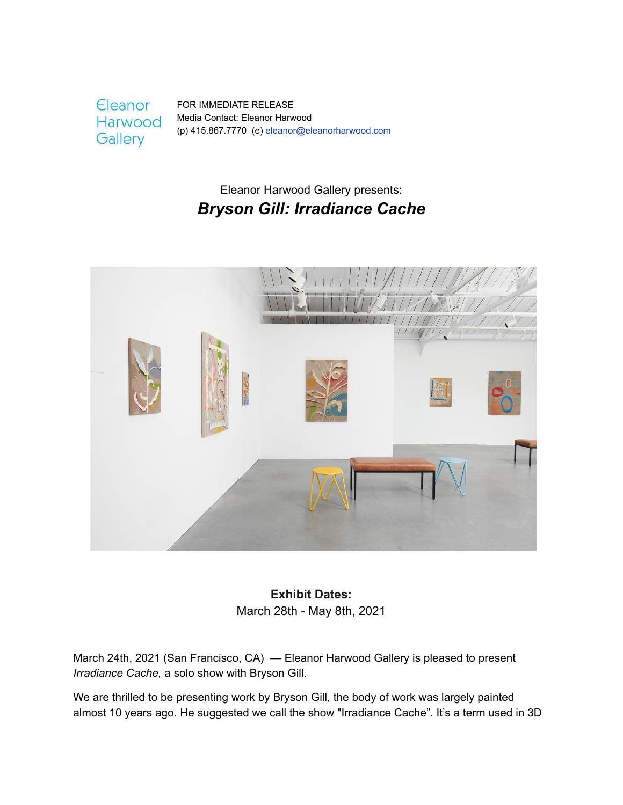**Eleanor** Harwood Gallery

FOR IMMEDIATE RELEASE Media Contact: Eleanor Harwood (p) 415.867.7770 (e) eleanor@eleanorharwood.com

# Eleanor Harwood Gallery presents: *Bryson Gill: Irradiance Cache*



**Exhibit Dates:** March 28th - May 8th, 2021

March 24th, 2021 (San Francisco, CA) — Eleanor Harwood Gallery is pleased to present *Irradiance Cache,* a solo show with Bryson Gill.

We are thrilled to be presenting work by Bryson Gill, the body of work was largely painted almost 10 years ago. He suggested we call the show "Irradiance Cache". It's a term used in 3D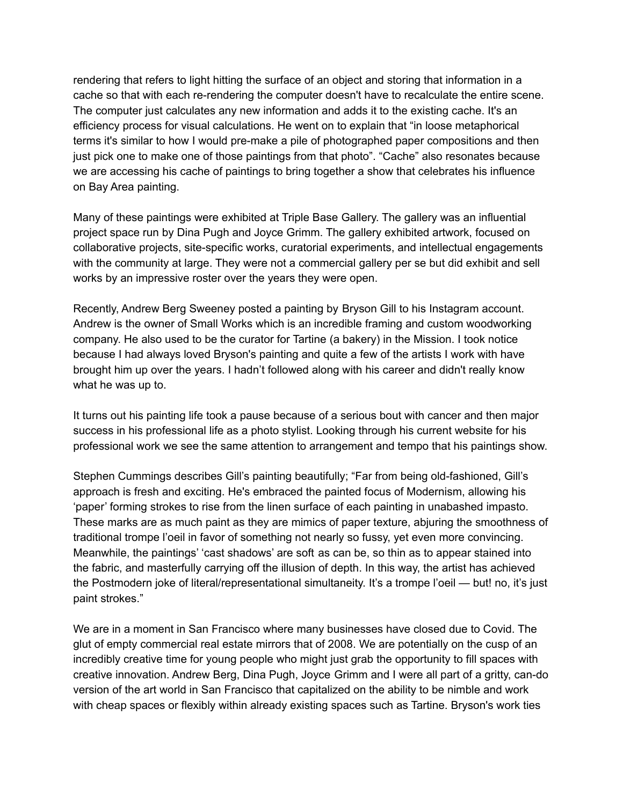rendering that refers to light hitting the surface of an object and storing that information in a cache so that with each re-rendering the computer doesn't have to recalculate the entire scene. The computer just calculates any new information and adds it to the existing cache. It's an efficiency process for visual calculations. He went on to explain that "in loose metaphorical terms it's similar to how I would pre-make a pile of photographed paper compositions and then just pick one to make one of those paintings from that photo". "Cache" also resonates because we are accessing his cache of paintings to bring together a show that celebrates his influence on Bay Area painting.

Many of these paintings were exhibited at Triple Base Gallery. The gallery was an influential project space run by Dina Pugh and Joyce Grimm. The gallery exhibited artwork, focused on collaborative projects, site-specific works, curatorial experiments, and intellectual engagements with the community at large. They were not a commercial gallery per se but did exhibit and sell works by an impressive roster over the years they were open.

Recently, Andrew Berg Sweeney posted a painting by Bryson Gill to his Instagram account. Andrew is the owner of Small Works which is an incredible framing and custom woodworking company. He also used to be the curator for Tartine (a bakery) in the Mission. I took notice because I had always loved Bryson's painting and quite a few of the artists I work with have brought him up over the years. I hadn't followed along with his career and didn't really know what he was up to.

It turns out his painting life took a pause because of a serious bout with cancer and then major success in his professional life as a photo stylist. Looking through his current website for his professional work we see the same attention to arrangement and tempo that his paintings show.

Stephen Cummings describes Gill's painting beautifully; "Far from being old-fashioned, Gill's approach is fresh and exciting. He's embraced the painted focus of Modernism, allowing his 'paper' forming strokes to rise from the linen surface of each painting in unabashed impasto. These marks are as much paint as they are mimics of paper texture, abjuring the smoothness of traditional trompe l'oeil in favor of something not nearly so fussy, yet even more convincing. Meanwhile, the paintings' 'cast shadows' are soft as can be, so thin as to appear stained into the fabric, and masterfully carrying off the illusion of depth. In this way, the artist has achieved the Postmodern joke of literal/representational simultaneity. It's a trompe l'oeil — but! no, it's just paint strokes."

We are in a moment in San Francisco where many businesses have closed due to Covid. The glut of empty commercial real estate mirrors that of 2008. We are potentially on the cusp of an incredibly creative time for young people who might just grab the opportunity to fill spaces with creative innovation. Andrew Berg, Dina Pugh, Joyce Grimm and I were all part of a gritty, can-do version of the art world in San Francisco that capitalized on the ability to be nimble and work with cheap spaces or flexibly within already existing spaces such as Tartine. Bryson's work ties